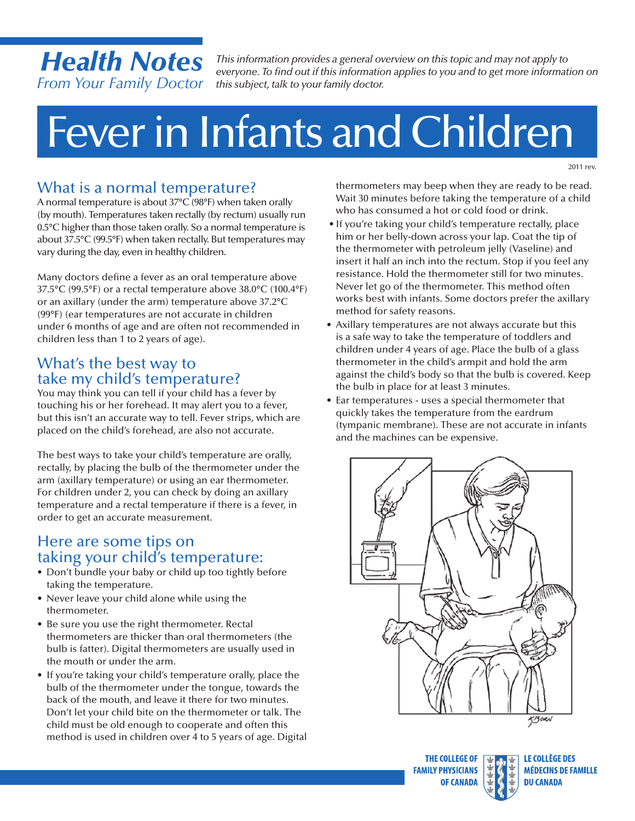## *Health Notes From Your Family Doctor*

*This information provides a general overview on this topic and may not apply to everyone. To find out if this information applies to you and to get more information on this subject, talk to your family doctor.*

# Feverin Infants and Children

2011 rev.

## What is a normal temperature?

A normal temperature is about 37°C (98°F) when taken orally (by mouth). Temperatures taken rectally (by rectum) usually run 0.5°C higher than those taken orally. So a normal temperature is about 37.5°C (99.5°F) when taken rectally. But temperatures may vary during the day, even in healthy children.

Many doctors define a fever as an oral temperature above 37.5°C (99.5°F) or a rectal temperature above 38.0°C (100.4°F) or an axillary (under the arm) temperature above 37.2°C (99°F) (ear temperatures are not accurate in children under 6 months of age and are often not recommended in children less than 1 to 2 years of age).

#### What's the best way to take my child's temperature?

You may think you can tell if your child has a fever by touching his or her forehead. It may alert you to a fever, but this isn't an accurate way to tell. Fever strips, which are placed on the child's forehead, are also not accurate.

The best ways to take your child's temperature are orally, rectally, by placing the bulb of the thermometer under the arm (axillary temperature) or using an ear thermometer. For children under 2, you can check by doing an axillary temperature and a rectal temperature if there is a fever, in order to get an accurate measurement.

#### Here are some tips on taking your child's temperature:

- Don't bundle your baby or child up too tightly before taking the temperature.
- Never leave your child alone while using the thermometer.
- Be sure you use the right thermometer. Rectal thermometers are thicker than oral thermometers (the bulb is fatter). Digital thermometers are usually used in the mouth or under the arm.
- If you're taking your child's temperature orally, place the bulb of the thermometer under the tongue, towards the back of the mouth, and leave it there for two minutes. Don't let your child bite on the thermometer or talk. The child must be old enough to cooperate and often this method is used in children over 4 to 5 years of age. Digital

thermometers may beep when they are ready to be read. Wait 30 minutes before taking the temperature of a child who has consumed a hot or cold food or drink.

- If you're taking your child's temperature rectally, place him or her belly-down across your lap. Coat the tip of the thermometer with petroleum jelly (Vaseline) and insert it half an inch into the rectum. Stop if you feel any resistance. Hold the thermometer still for two minutes. Never let go of the thermometer. This method often works best with infants. Some doctors prefer the axillary method for safety reasons.
- Axillary temperatures are not always accurate but this is a safe way to take the temperature of toddlers and children under 4 years of age. Place the bulb of a glass thermometer in the child's armpit and hold the arm against the child's body so that the bulb is covered. Keep the bulb in place for at least 3 minutes.
- Ear temperatures uses a special thermometer that quickly takes the temperature from the eardrum (tympanic membrane). These are not accurate in infants and the machines can be expensive.



**THE COLLEGE OF FAMILY PHYSICIANS OF CANADA** 

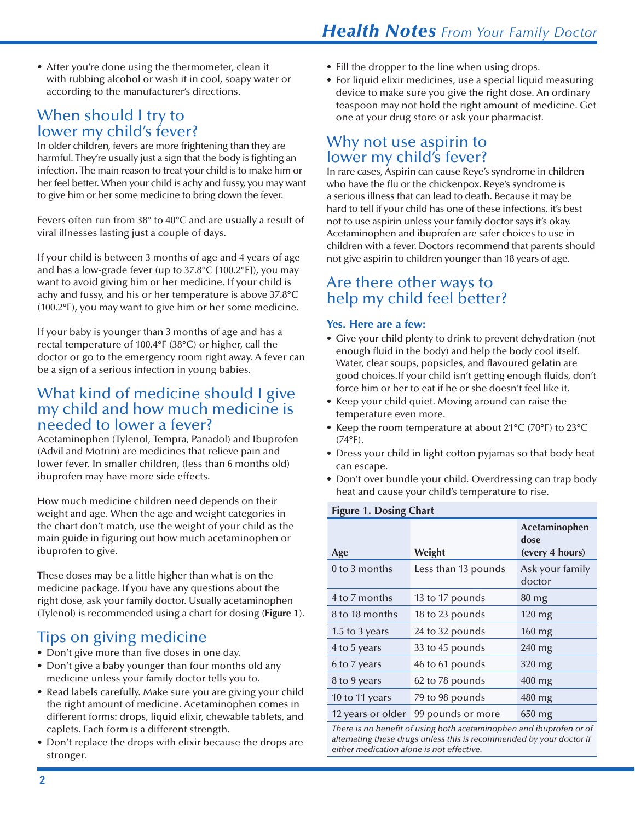• After you're done using the thermometer, clean it with rubbing alcohol or wash it in cool, soapy water or according to the manufacturer's directions.

#### When should I try to lower my child's fever?

In older children, fevers are more frightening than they are harmful. They're usually just a sign that the body is fighting an infection. The main reason to treat your child is to make him or her feel better. When your child is achy and fussy, you may want to give him or her some medicine to bring down the fever.

Fevers often run from 38° to 40°C and are usually a result of viral illnesses lasting just a couple of days.

If your child is between 3 months of age and 4 years of age and has a low-grade fever (up to 37.8°C [100.2°F]), you may want to avoid giving him or her medicine. If your child is achy and fussy, and his or her temperature is above 37.8°C (100.2°F), you may want to give him or her some medicine.

If your baby is younger than 3 months of age and has a rectal temperature of 100.4°F (38°C) or higher, call the doctor or go to the emergency room right away. A fever can be a sign of a serious infection in young babies.

#### What kind of medicine should I give my child and how much medicine is needed to lower a fever?

Acetaminophen (Tylenol, Tempra, Panadol) and Ibuprofen (Advil and Motrin) are medicines that relieve pain and lower fever. In smaller children, (less than 6 months old) ibuprofen may have more side effects.

How much medicine children need depends on their weight and age. When the age and weight categories in the chart don't match, use the weight of your child as the main guide in figuring out how much acetaminophen or ibuprofen to give.

These doses may be a little higher than what is on the medicine package. If you have any questions about the right dose, ask your family doctor. Usually acetaminophen (Tylenol) is recommended using a chart for dosing (**Figure 1**).

## Tips on giving medicine

- Don't give more than five doses in one day.
- Don't give a baby younger than four months old any medicine unless your family doctor tells you to.
- Read labels carefully. Make sure you are giving your child the right amount of medicine. Acetaminophen comes in different forms: drops, liquid elixir, chewable tablets, and caplets. Each form is a different strength.
- Don't replace the drops with elixir because the drops are stronger.
- Fill the dropper to the line when using drops.
- For liquid elixir medicines, use a special liquid measuring device to make sure you give the right dose. An ordinary teaspoon may not hold the right amount of medicine. Get one at your drug store or ask your pharmacist.

#### Why not use aspirin to lower my child's fever?

In rare cases, Aspirin can cause Reye's syndrome in children who have the flu or the chickenpox. Reye's syndrome is a serious illness that can lead to death. Because it may be hard to tell if your child has one of these infections, it's best not to use aspirin unless your family doctor says it's okay. Acetaminophen and ibuprofen are safer choices to use in children with a fever. Doctors recommend that parents should not give aspirin to children younger than 18 years of age.

#### Are there other ways to help my child feel better?

#### **Yes. Here are a few:**

- Give your child plenty to drink to prevent dehydration (not enough fluid in the body) and help the body cool itself. Water, clear soups, popsicles, and flavoured gelatin are good choices.If your child isn't getting enough fluids, don't force him or her to eat if he or she doesn't feel like it.
- Keep your child quiet. Moving around can raise the temperature even more.
- Keep the room temperature at about 21°C (70°F) to 23°C (74°F).
- Dress your child in light cotton pyjamas so that body heat can escape.
- Don't over bundle your child. Overdressing can trap body heat and cause your child's temperature to rise.

#### **Figure 1. Dosing Chart**

|                   |                     | Acetaminophen<br>dose     |
|-------------------|---------------------|---------------------------|
| Age               | Weight              | (every 4 hours)           |
| 0 to 3 months     | Less than 13 pounds | Ask your family<br>doctor |
| 4 to 7 months     | 13 to 17 pounds     | $80 \,\mathrm{mg}$        |
| 8 to 18 months    | 18 to 23 pounds     | $120 \text{ mg}$          |
| 1.5 to 3 years    | 24 to 32 pounds     | 160 mg                    |
| 4 to 5 years      | 33 to 45 pounds     | $240 \text{ mg}$          |
| 6 to 7 years      | 46 to 61 pounds     | $320 \,\mathrm{mg}$       |
| 8 to 9 years      | 62 to 78 pounds     | 400 mg                    |
| 10 to 11 years    | 79 to 98 pounds     | 480 mg                    |
| 12 years or older | 99 pounds or more   | $650$ mg                  |

*There is no benefit of using both acetaminophen and ibuprofen or of alternating these drugs unless this is recommended by your doctor if either medication alone is not effective.*